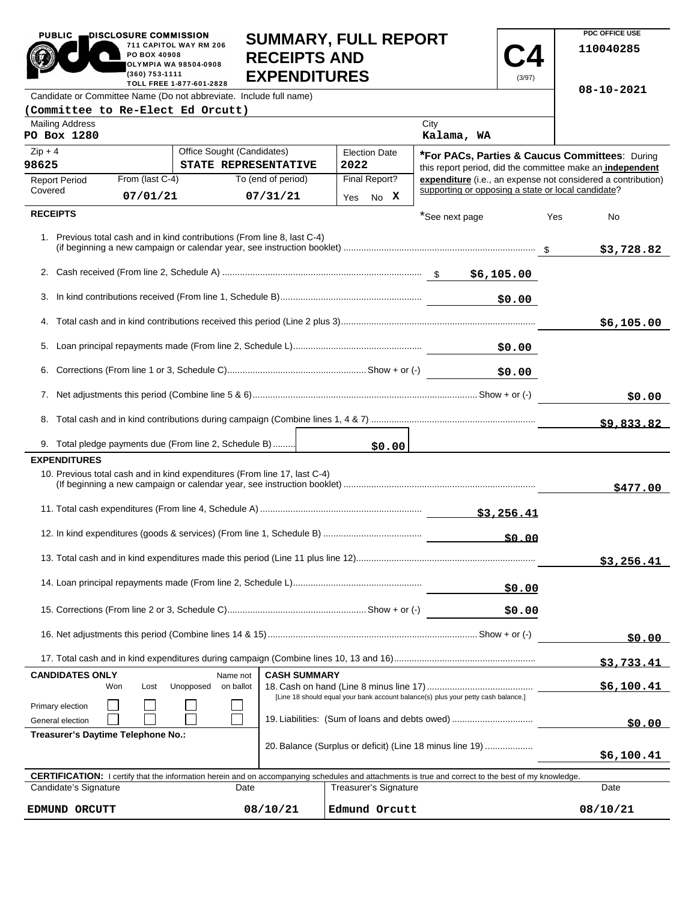| <b>PUBLIC</b><br>DISCLOSURE COMMISSION<br>711 CAPITOL WAY RM 206<br>PO BOX 40908<br>OLYMPIA WA 98504-0908<br>(360) 753-1111<br>TOLL FREE 1-877-601-2828 |                            | <b>SUMMARY, FULL REPORT</b><br><b>RECEIPTS AND</b><br><b>EXPENDITURES</b> |      |                              |                                                           | (3/97)     |            | PDC OFFICE USE<br>110040285                                  |  |
|---------------------------------------------------------------------------------------------------------------------------------------------------------|----------------------------|---------------------------------------------------------------------------|------|------------------------------|-----------------------------------------------------------|------------|------------|--------------------------------------------------------------|--|
| Candidate or Committee Name (Do not abbreviate. Include full name)                                                                                      |                            |                                                                           |      |                              |                                                           | 08-10-2021 |            |                                                              |  |
| (Committee to Re-Elect Ed Orcutt)                                                                                                                       |                            |                                                                           |      |                              |                                                           |            |            |                                                              |  |
| <b>Mailing Address</b><br>PO Box 1280                                                                                                                   |                            |                                                                           |      |                              | City<br>Kalama, WA                                        |            |            |                                                              |  |
| $Zip + 4$                                                                                                                                               | Office Sought (Candidates) |                                                                           |      | <b>Election Date</b>         | *For PACs, Parties & Caucus Committees: During            |            |            |                                                              |  |
| 98625<br>From (last C-4)                                                                                                                                | STATE REPRESENTATIVE       | To (end of period)                                                        | 2022 | Final Report?                | this report period, did the committee make an independent |            |            | expenditure (i.e., an expense not considered a contribution) |  |
| <b>Report Period</b><br>Covered<br>07/01/21                                                                                                             |                            | 07/31/21                                                                  |      |                              | supporting or opposing a state or local candidate?        |            |            |                                                              |  |
| <b>RECEIPTS</b>                                                                                                                                         |                            |                                                                           |      | Yes No X                     |                                                           |            |            |                                                              |  |
| 1. Previous total cash and in kind contributions (From line 8, last C-4)                                                                                |                            |                                                                           |      |                              | *See next page                                            |            | Yes        | No<br>\$3,728.82                                             |  |
|                                                                                                                                                         |                            |                                                                           |      |                              |                                                           |            |            |                                                              |  |
|                                                                                                                                                         |                            |                                                                           |      |                              |                                                           | \$0.00     |            |                                                              |  |
|                                                                                                                                                         |                            |                                                                           |      |                              |                                                           |            |            |                                                              |  |
|                                                                                                                                                         |                            |                                                                           |      |                              |                                                           |            |            | \$6,105.00                                                   |  |
|                                                                                                                                                         |                            |                                                                           |      |                              |                                                           | \$0.00     |            |                                                              |  |
| \$0.00                                                                                                                                                  |                            |                                                                           |      |                              |                                                           |            |            |                                                              |  |
|                                                                                                                                                         |                            |                                                                           |      |                              |                                                           | \$0.00     |            |                                                              |  |
|                                                                                                                                                         |                            |                                                                           |      |                              |                                                           |            |            | \$9,833.82                                                   |  |
| 9. Total pledge payments due (From line 2, Schedule B)                                                                                                  |                            |                                                                           |      | \$0.00                       |                                                           |            |            |                                                              |  |
| <b>EXPENDITURES</b>                                                                                                                                     |                            |                                                                           |      |                              |                                                           |            |            |                                                              |  |
| 10. Previous total cash and in kind expenditures (From line 17, last C-4)                                                                               |                            |                                                                           |      |                              |                                                           |            |            | \$477.00                                                     |  |
|                                                                                                                                                         |                            |                                                                           |      |                              |                                                           |            |            |                                                              |  |
|                                                                                                                                                         |                            |                                                                           |      |                              |                                                           |            |            |                                                              |  |
|                                                                                                                                                         |                            |                                                                           |      |                              |                                                           |            |            | \$3,256.41                                                   |  |
|                                                                                                                                                         |                            |                                                                           |      |                              | \$0.00                                                    |            |            |                                                              |  |
|                                                                                                                                                         |                            |                                                                           |      |                              |                                                           | \$0.00     |            |                                                              |  |
|                                                                                                                                                         |                            |                                                                           |      |                              |                                                           | \$0.00     |            |                                                              |  |
|                                                                                                                                                         |                            |                                                                           |      |                              |                                                           |            | \$3,733.41 |                                                              |  |
| <b>CANDIDATES ONLY</b>                                                                                                                                  | Name not                   | <b>CASH SUMMARY</b>                                                       |      |                              |                                                           |            |            |                                                              |  |
| Unopposed<br>on ballot<br>Won<br>Lost<br>[Line 18 should equal your bank account balance(s) plus your petty cash balance.]                              |                            |                                                                           |      |                              |                                                           |            | \$6,100.41 |                                                              |  |
| Primary election<br>19. Liabilities: (Sum of loans and debts owed)<br>General election                                                                  |                            |                                                                           |      |                              | \$0.00                                                    |            |            |                                                              |  |
| Treasurer's Daytime Telephone No.:<br>20. Balance (Surplus or deficit) (Line 18 minus line 19)                                                          |                            |                                                                           |      |                              |                                                           | \$6,100.41 |            |                                                              |  |
| CERTIFICATION: I certify that the information herein and on accompanying schedules and attachments is true and correct to the best of my knowledge.     |                            |                                                                           |      |                              |                                                           |            |            |                                                              |  |
| Candidate's Signature                                                                                                                                   | Date                       |                                                                           |      | <b>Treasurer's Signature</b> |                                                           |            |            | Date                                                         |  |
| EDMUND ORCUTT                                                                                                                                           |                            | 08/10/21                                                                  |      | Edmund Orcutt                |                                                           |            |            | 08/10/21                                                     |  |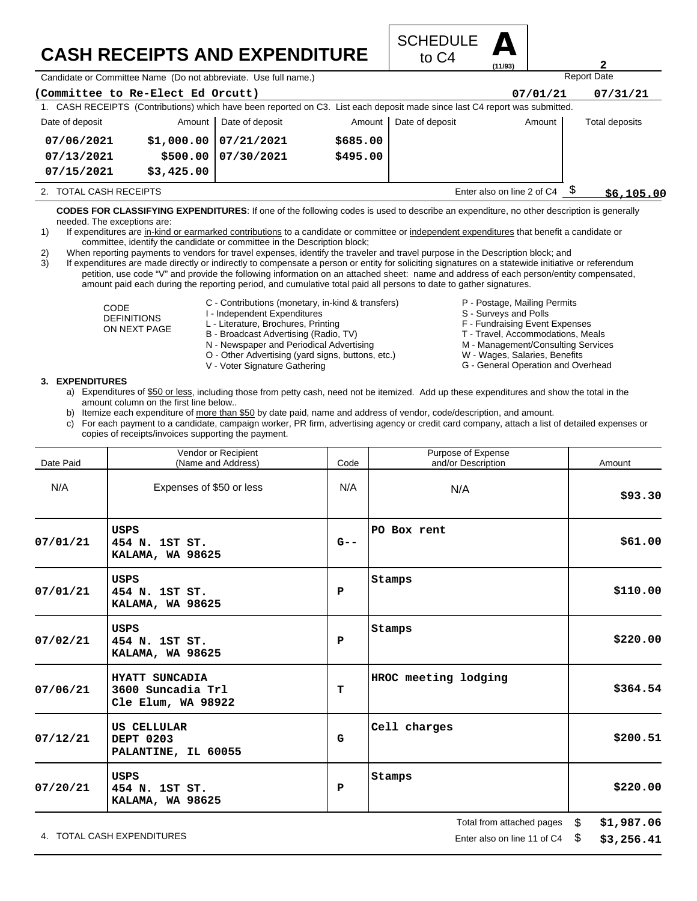## **CASH RECEIPTS AND EXPENDITURE**



Candidate or Committee Name (Do not abbreviate. Use full name.)

| (Committee to Re-Elect Ed Orcutt)                    |            |                                                                                                                             |          |                 | 07/01/21 | 07/31/21       |
|------------------------------------------------------|------------|-----------------------------------------------------------------------------------------------------------------------------|----------|-----------------|----------|----------------|
|                                                      |            | 1. CASH RECEIPTS (Contributions) which have been reported on C3. List each deposit made since last C4 report was submitted. |          |                 |          |                |
| Date of deposit                                      | Amount     | Date of deposit                                                                                                             | Amount   | Date of deposit | Amount   | Total deposits |
| 07/06/2021                                           | \$1,000.00 | 07/21/2021                                                                                                                  | \$685.00 |                 |          |                |
| 07/13/2021                                           | \$500.00   | 07/30/2021                                                                                                                  | \$495.00 |                 |          |                |
| 07/15/2021                                           | \$3,425.00 |                                                                                                                             |          |                 |          |                |
| Enter also on line 2 of C4<br>2. TOTAL CASH RECEIPTS |            |                                                                                                                             |          |                 |          | \$6,105.00     |

**CODES FOR CLASSIFYING EXPENDITURES**: If one of the following codes is used to describe an expenditure, no other description is generally needed. The exceptions are:

- 1) If expenditures are in-kind or earmarked contributions to a candidate or committee or independent expenditures that benefit a candidate or committee, identify the candidate or committee in the Description block;
- 2) When reporting payments to vendors for travel expenses, identify the traveler and travel purpose in the Description block; and

3) If expenditures are made directly or indirectly to compensate a person or entity for soliciting signatures on a statewide initiative or referendum petition, use code "V" and provide the following information on an attached sheet: name and address of each person/entity compensated, amount paid each during the reporting period, and cumulative total paid all persons to date to gather signatures.

- CODE DEFINITIONS ON NEXT PAGE
- C Contributions (monetary, in-kind & transfers) I - Independent Expenditures
- L Literature, Brochures, Printing
- B Broadcast Advertising (Radio, TV)
- 
- N Newspaper and Periodical Advertising O - Other Advertising (yard signs, buttons, etc.)
- 
- V Voter Signature Gathering
- P Postage, Mailing Permits
- S Surveys and Polls
- F Fundraising Event Expenses
- T Travel, Accommodations, Meals
- M Management/Consulting Services

Report Date

**2**

- W Wages, Salaries, Benefits
- G General Operation and Overhead

## **3. EXPENDITURES**

- a) Expenditures of \$50 or less, including those from petty cash, need not be itemized. Add up these expenditures and show the total in the amount column on the first line below..
- b) Itemize each expenditure of more than \$50 by date paid, name and address of vendor, code/description, and amount.
- c) For each payment to a candidate, campaign worker, PR firm, advertising agency or credit card company, attach a list of detailed expenses or copies of receipts/invoices supporting the payment.

| Date Paid | Vendor or Recipient<br>(Name and Address)                 | Code    | Purpose of Expense<br>and/or Description |                | Amount     |
|-----------|-----------------------------------------------------------|---------|------------------------------------------|----------------|------------|
| N/A       | Expenses of \$50 or less                                  | N/A     | N/A                                      |                | \$93.30    |
| 07/01/21  | USPS<br>454 N. 1ST ST.<br><b>KALAMA, WA 98625</b>         | $G - -$ | PO Box rent                              |                | \$61.00    |
| 07/01/21  | USPS<br>454 N. 1ST ST.<br>KALAMA, WA 98625                | P       | Stamps                                   |                | \$110.00   |
| 07/02/21  | USPS<br>454 N. 1ST ST.<br>KALAMA, WA 98625                | P       | Stamps                                   |                | \$220.00   |
| 07/06/21  | HYATT SUNCADIA<br>3600 Suncadia Trl<br>Cle Elum, WA 98922 | т       | HROC meeting lodging                     |                | \$364.54   |
| 07/12/21  | US CELLULAR<br><b>DEPT 0203</b><br>PALANTINE, IL 60055    | G       | Cell charges                             |                | \$200.51   |
| 07/20/21  | USPS<br>454 N. 1ST ST.<br>KALAMA, WA 98625                | P       | Stamps                                   |                | \$220.00   |
|           |                                                           |         | Total from attached pages                | $\mathfrak{S}$ | \$1,987.06 |

4. TOTAL CASH EXPENDITURES **EXAMPLE 2008** 2012 12:04 TOTAL CASH Experiment 21 of C4 \$

**\$3,256.41**